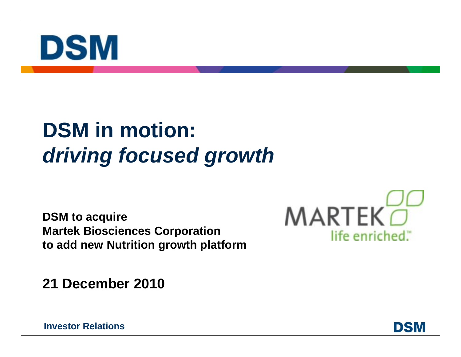

# **DSM in motion:** *driving focused growth*

**DSM to acquire Martek Biosciences Corporation to add new Nutrition growth platform**

**21 December 2010**



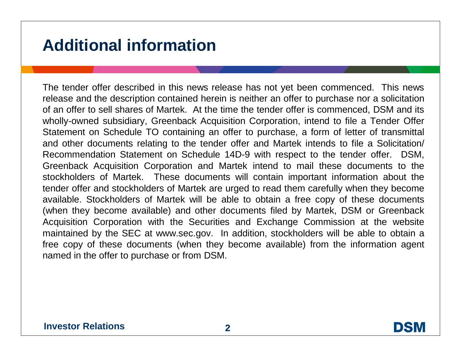## **Additional information**

The tender offer described in this news release has not yet been commenced. This news release and the description contained herein is neither an offer to purchase nor a solicitation of an offer to sell shares of Martek. At the time the tender offer is commenced, DSM and its wholly-owned subsidiary, Greenback Acquisition Corporation, intend to file a Tender Offer Statement on Schedule TO containing an offer to purchase, a form of letter of transmittal and other documents relating to the tender offer and Martek intends to file a Solicitation/ Recommendation Statement on Schedule 14D-9 with respect to the tender offer. DSM, Greenback Acquisition Corporation and Martek intend to mail these documents to the stockholders of Martek. These documents will contain important information about the tender offer and stockholders of Martek are urged to read them carefully when they become available. Stockholders of Martek will be able to obtain a free copy of these documents (when they become available) and other documents filed by Martek, DSM or Greenback Acquisition Corporation with the Securities and Exchange Commission at the website maintained by the SEC at [www.sec.gov.](http://www.sec.gov./) In addition, stockholders will be able to obtain a free copy of these documents (when they become available) from the information agent named in the offer to purchase or from DSM.

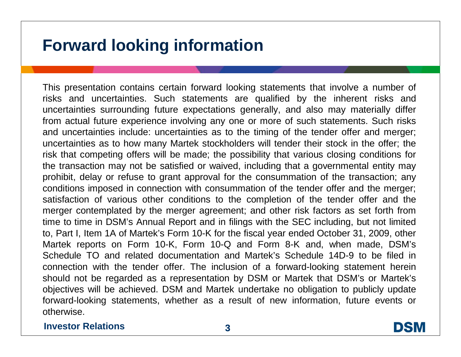## **Forward looking information**

This presentation contains certain forward looking statements that involve a number of risks and uncertainties. Such statements are qualified by the inherent risks and uncertainties surrounding future expectations generally, and also may materially differ from actual future experience involving any one or more of such statements. Such risks and uncertainties include: uncertainties as to the timing of the tender offer and merger; uncertainties as to how many Martek stockholders will tender their stock in the offer; the risk that competing offers will be made; the possibility that various closing conditions for the transaction may not be satisfied or waived, including that a governmental entity may prohibit, delay or refuse to grant approval for the consummation of the transaction; any conditions imposed in connection with consummation of the tender offer and the merger; satisfaction of various other conditions to the completion of the tender offer and the merger contemplated by the merger agreement; and other risk factors as set forth from time to time in DSM's Annual Report and in filings with the SEC including, but not limited to, Part I, Item 1A of Martek's Form 10-K for the fiscal year ended October 31, 2009, other Martek reports on Form 10-K, Form 10-Q and Form 8-K and, when made, DSM's Schedule TO and related documentation and Martek's Schedule 14D-9 to be filed in connection with the tender offer. The inclusion of a forward-looking statement herein should not be regarded as a representation by DSM or Martek that DSM's or Martek's objectives will be achieved. DSM and Martek undertake no obligation to publicly update forward-looking statements, whether as a result of new information, future events or otherwise.

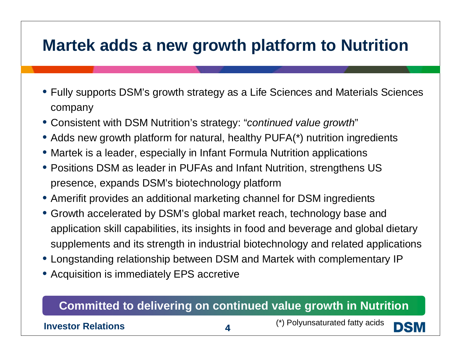## **Martek adds a new growth platform to Nutrition**

- Fully supports DSM's growth strategy as a Life Sciences and Materials Sciences company
- Consistent with DSM Nutrition's strategy: "*continued value growth*"
- Adds new growth platform for natural, healthy PUFA(\*) nutrition ingredients
- Martek is a leader, especially in Infant Formula Nutrition applications
- Positions DSM as leader in PUFAs and Infant Nutrition, strengthens US presence, expands DSM's biotechnology platform
- Amerifit provides an additional marketing channel for DSM ingredients
- Growth accelerated by DSM's global market reach, technology base and application skill capabilities, its insights in food and beverage and global dietary supplements and its strength in industrial biotechnology and related applications
- Longstanding relationship between DSM and Martek with complementary IP
- Acquisition is immediately EPS accretive

### **Committed to delivering on continued value growth in Nutrition**

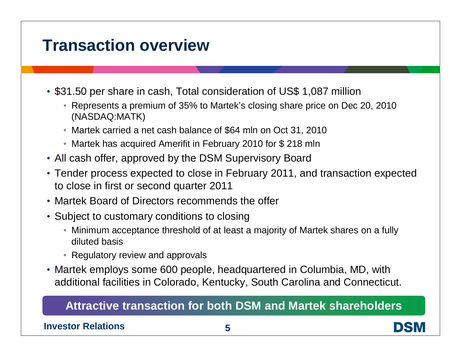### **Transaction overview**

- \$31.50 per share in cash, Total consideration of US\$ 1,087 million
	- Represents a premium of 35% to Martek's closing share price on Dec 20, 2010 (NASDAQ:MATK)
	- Martek carried a net cash balance of \$64 mln on Oct 31, 2010
	- Martek has acquired Amerifit in February 2010 for \$ 218 mln
- All cash offer, approved by the DSM Supervisory Board
- Tender process expected to close in February 2011, and transaction expected to close in first or second quarter 2011
- Martek Board of Directors recommends the offer
- Subject to customary conditions to closing
	- Minimum acceptance threshold of at least a majority of Martek shares on a fully diluted basis
	- Regulatory review and approvals
- Martek employs some 600 people, headquartered in Columbia, MD, with additional facilities in Colorado, Kentucky, South Carolina and Connecticut.

### **Attractive transaction for both DSM and Martek shareholders**

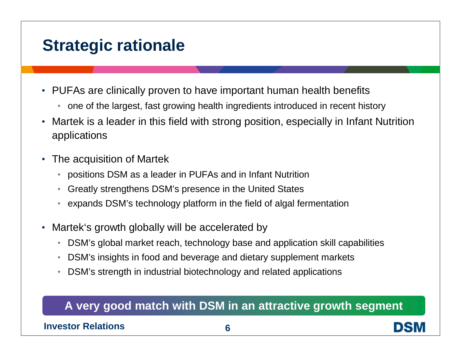## **Strategic rationale**

- PUFAs are clinically proven to have important human health benefits
	- one of the largest, fast growing health ingredients introduced in recent history
- Martek is a leader in this field with strong position, especially in Infant Nutrition applications
- The acquisition of Martek
	- positions DSM as a leader in PUFAs and in Infant Nutrition
	- Greatly strengthens DSM's presence in the United States
	- expands DSM's technology platform in the field of algal fermentation
- Martek's growth globally will be accelerated by
	- DSM's global market reach, technology base and application skill capabilities
	- DSM's insights in food and beverage and dietary supplement markets
	- DSM's strength in industrial biotechnology and related applications

### **A very good match with DSM in an attractive growth segment**

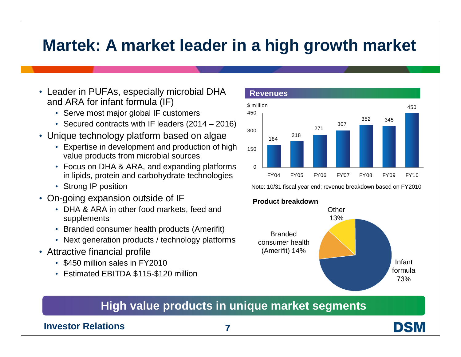## **Martek: A market leader in a high growth market**

- Leader in PUFAs, especially microbial DHA and ARA for infant formula (IF)
	- Serve most major global IF customers
	- Secured contracts with IF leaders (2014 2016)
- Unique technology platform based on algae
	- Expertise in development and production of high value products from microbial sources
	- Focus on DHA & ARA, and expanding platforms in lipids, protein and carbohydrate technologies
	- Strong IP position
- On-going expansion outside of IF
	- DHA & ARA in other food markets, feed and supplements
	- Branded consumer health products (Amerifit)
	- Next generation products / technology platforms
- Attractive financial profile
	- \$450 million sales in FY2010
	- Estimated EBITDA \$115-\$120 million



Note: 10/31 fiscal year end; revenue breakdown based on FY2010

#### **Product breakdown**



### **High value products in unique market segments**

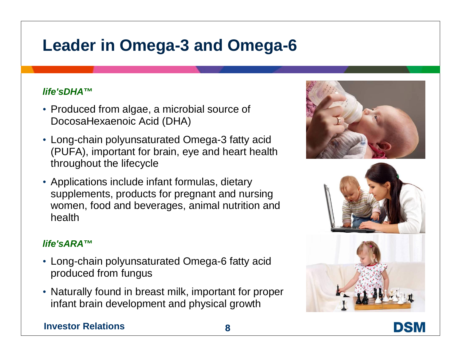## **Leader in Omega-3 and Omega-6**

#### *life'sDHA***™**

- Produced from algae, a microbial source of DocosaHexaenoic Acid (DHA)
- Long-chain polyunsaturated Omega-3 fatty acid (PUFA), important for brain, eye and heart health throughout the lifecycle
- Applications include infant formulas, dietary supplements, products for pregnant and nursing women, food and beverages, animal nutrition and health

#### *life'sARA***™**

- Long-chain polyunsaturated Omega-6 fatty acid produced from fungus
- Naturally found in breast milk, important for proper infant brain development and physical growth







DSM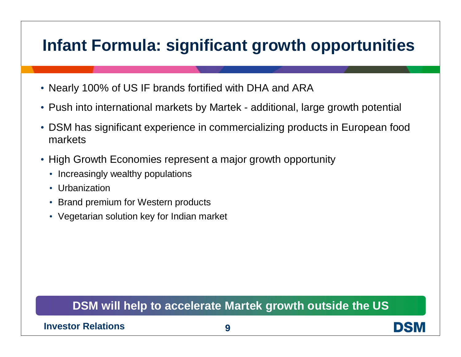## **Infant Formula: significant growth opportunities**

- Nearly 100% of US IF brands fortified with DHA and ARA
- Push into international markets by Martek additional, large growth potential
- DSM has significant experience in commercializing products in European food markets
- High Growth Economies represent a major growth opportunity
	- Increasingly wealthy populations
	- Urbanization
	- Brand premium for Western products
	- Vegetarian solution key for Indian market

### **DSM will help to accelerate Martek growth outside the US**

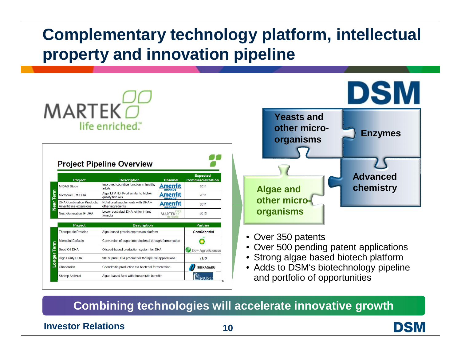## **Complementary technology platform, intellectual property and innovation pipeline**

|                   | $MARTEK\Box$                                                 | life enriched                                            |                                                   |                                             |  |
|-------------------|--------------------------------------------------------------|----------------------------------------------------------|---------------------------------------------------|---------------------------------------------|--|
|                   |                                                              |                                                          |                                                   |                                             |  |
|                   |                                                              |                                                          |                                                   |                                             |  |
|                   |                                                              |                                                          |                                                   |                                             |  |
|                   |                                                              |                                                          |                                                   |                                             |  |
|                   |                                                              |                                                          |                                                   |                                             |  |
|                   | <b>Project Pipeline Overview</b>                             |                                                          |                                                   |                                             |  |
|                   |                                                              |                                                          |                                                   |                                             |  |
|                   | Project                                                      | <b>Description</b>                                       | <b>Channel</b>                                    | <b>Expected</b><br><b>Commercialization</b> |  |
|                   | <b>MIDAS Study</b>                                           | Improved cognitive function in healthy<br>adults         |                                                   | 2011                                        |  |
| Term              | Microbial EPA/DHA                                            | Algal EPA+DHA oil similar to higher<br>quality fish oils |                                                   | 2011                                        |  |
| Near <sup>-</sup> | <b>DHA Combination Products/</b><br>Amerifit line extensions | Nutritional supplements with DHA +<br>other ingredients  |                                                   | 2011                                        |  |
|                   | <b>Next Generation IF DHA</b>                                | Lower cost algal DHA oil for infant<br>formula           | MARTE                                             | 2013                                        |  |
|                   | <b>Description</b><br>Project<br>Partner                     |                                                          |                                                   |                                             |  |
|                   | <b>Therapeutic Proteins</b>                                  | Algal-based protein expression platform                  |                                                   | <b>Confidential</b>                         |  |
|                   | <b>Microbial Biofuels</b>                                    | Conversion of sugar into biodiesel through fermentation  |                                                   |                                             |  |
|                   | Seed Oil DHA                                                 | Oilseed-based production system for DHA                  |                                                   | Dow AgroSciences                            |  |
| Term              |                                                              | 90+% pure DHA product for therapeutic applications       |                                                   | <b>TBD</b>                                  |  |
|                   | <b>High Purity DHA</b>                                       |                                                          | Chondroitin production via bacterial fermentation |                                             |  |
| Longer            | Chondroitin                                                  |                                                          |                                                   | <b>SEIKAGAKU</b>                            |  |



- Over 350 patents
- Over 500 pending patent applications
- Strong algae based biotech platform
- Adds to DSM's biotechnology pipeline and portfolio of opportunities

### **Combining technologies will accelerate innovative growth**

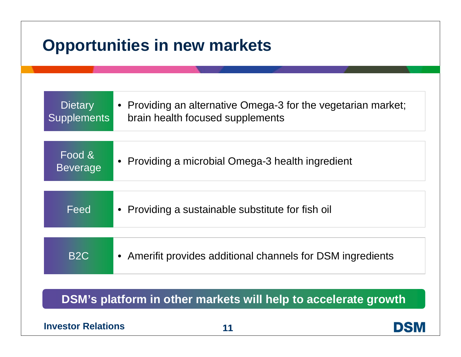## **Opportunities in new markets**

| Dietary<br><b>Supplements</b> | • Providing an alternative Omega-3 for the vegetarian market;<br>brain health focused supplements |
|-------------------------------|---------------------------------------------------------------------------------------------------|
| Food &<br><b>Beverage</b>     | • Providing a microbial Omega-3 health ingredient                                                 |
| Feed                          | • Providing a sustainable substitute for fish oil                                                 |
| B <sub>2</sub> C              | • Amerifit provides additional channels for DSM ingredients                                       |
|                               |                                                                                                   |

**DSM's platform in other markets will help to accelerate growth**

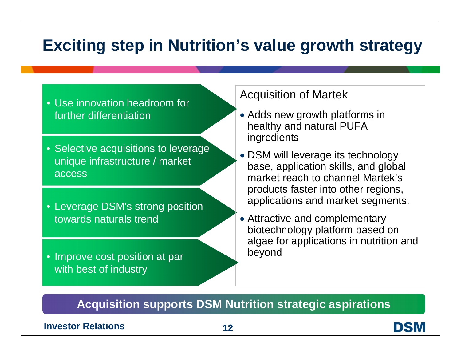## **Exciting step in Nutrition's value growth strategy**

- Use innovation headroom for further differentiation
- Selective acquisitions to leverage unique infrastructure / market access
- Leverage DSM's strong position towards naturals trend
- Improve cost position at par **beyond** with best of industry

### Acquisition of Martek

- Adds new growth platforms in healthy and natural PUFA ingredients
- DSM will leverage its technology base, application skills, and global market reach to channel Martek's products faster into other regions, applications and market segments.
- Attractive and complementary biotechnology platform based on algae for applications in nutrition and

### **Acquisition supports DSM Nutrition strategic aspirations**

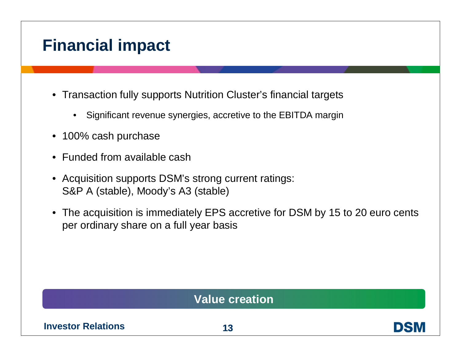## **Financial impact**

- Transaction fully supports Nutrition Cluster's financial targets
	- Significant revenue synergies, accretive to the EBITDA margin
- 100% cash purchase
- Funded from available cash
- Acquisition supports DSM's strong current ratings: S&P A (stable), Moody's A3 (stable)
- The acquisition is immediately EPS accretive for DSM by 15 to 20 euro cents per ordinary share on a full year basis

### **Value creation**

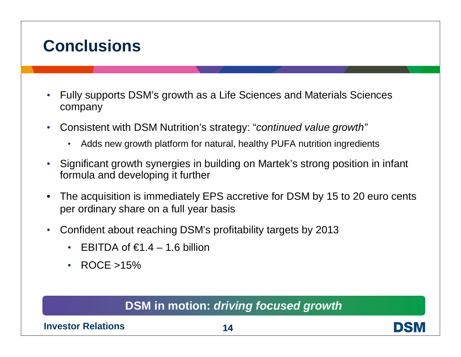## **Conclusions**

- Fully supports DSM's growth as a Life Sciences and Materials Sciences company
- Consistent with DSM Nutrition's strategy: "*continued value growth"*
	- Adds new growth platform for natural, healthy PUFA nutrition ingredients
- Significant growth synergies in building on Martek's strong position in infant formula and developing it further
- The acquisition is immediately EPS accretive for DSM by 15 to 20 euro cents per ordinary share on a full year basis
- Confident about reaching DSM's profitability targets by 2013
	- EBITDA of  $\epsilon$ 1.4 1.6 billion
	- ROCE > 15%

### **DSM in motion:** *driving focused growth*